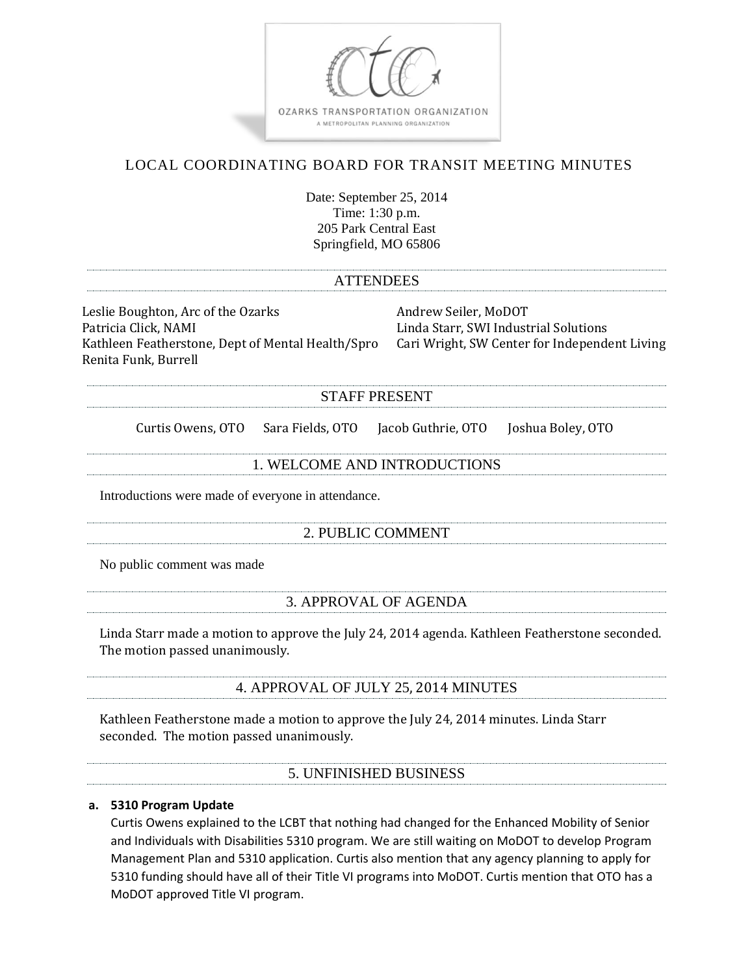

MoDOT approved Title VI program.